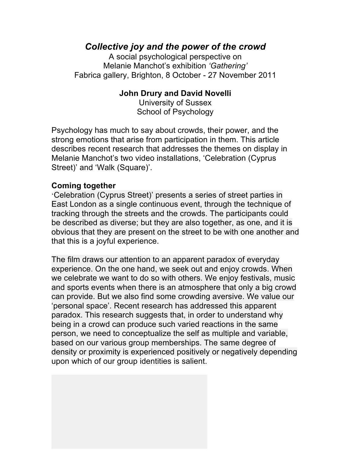## *Collective joy and the power of the crowd*

A social psychological perspective on Melanie Manchot's exhibition *'Gathering'* Fabrica gallery, Brighton, 8 October - 27 November 2011

## **John Drury and David Novelli**

University of Sussex School of Psychology

Psychology has much to say about crowds, their power, and the strong emotions that arise from participation in them. This article describes recent research that addresses the themes on display in Melanie Manchot's two video installations, 'Celebration (Cyprus Street)' and 'Walk (Square)'.

## **Coming together**

'Celebration (Cyprus Street)' presents a series of street parties in East London as a single continuous event, through the technique of tracking through the streets and the crowds. The participants could be described as diverse; but they are also together, as one, and it is obvious that they are present on the street to be with one another and that this is a joyful experience.

The film draws our attention to an apparent paradox of everyday experience. On the one hand, we seek out and enjoy crowds. When we celebrate we want to do so with others. We enjoy festivals, music and sports events when there is an atmosphere that only a big crowd can provide. But we also find some crowding aversive. We value our 'personal space'. Recent research has addressed this apparent paradox. This research suggests that, in order to understand why being in a crowd can produce such varied reactions in the same person, we need to conceptualize the self as multiple and variable, based on our various group memberships. The same degree of density or proximity is experienced positively or negatively depending upon which of our group identities is salient.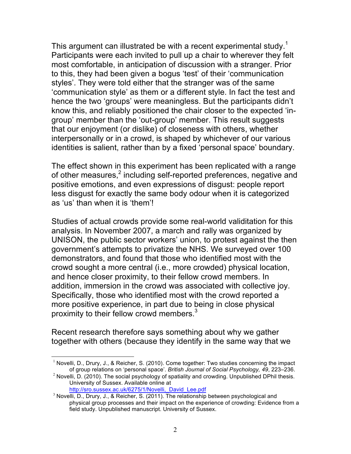This argument can illustrated be with a recent experimental study.<sup>1</sup> Participants were each invited to pull up a chair to wherever they felt most comfortable, in anticipation of discussion with a stranger. Prior to this, they had been given a bogus 'test' of their 'communication styles'. They were told either that the stranger was of the same 'communication style' as them or a different style. In fact the test and hence the two 'groups' were meaningless. But the participants didn't know this, and reliably positioned the chair closer to the expected 'ingroup' member than the 'out-group' member. This result suggests that our enjoyment (or dislike) of closeness with others, whether interpersonally or in a crowd, is shaped by whichever of our various identities is salient, rather than by a fixed 'personal space' boundary.

The effect shown in this experiment has been replicated with a range of other measures,<sup>2</sup> including self-reported preferences, negative and positive emotions, and even expressions of disgust: people report less disgust for exactly the same body odour when it is categorized as 'us' than when it is 'them'!

Studies of actual crowds provide some real-world validitation for this analysis. In November 2007, a march and rally was organized by UNISON, the public sector workers' union, to protest against the then government's attempts to privatize the NHS. We surveyed over 100 demonstrators, and found that those who identified most with the crowd sought a more central (i.e., more crowded) physical location, and hence closer proximity, to their fellow crowd members. In addition, immersion in the crowd was associated with collective joy. Specifically, those who identified most with the crowd reported a more positive experience, in part due to being in close physical proximity to their fellow crowd members.<sup>3</sup>

Recent research therefore says something about why we gather together with others (because they identify in the same way that we

 $<sup>1</sup>$  Novelli, D., Drury, J., & Reicher, S. (2010). Come together: Two studies concerning the impact</sup> of group relations on 'personal space'. *British Journal of Social Psychology, 49*, 223–236.

 $<sup>2</sup>$  Novelli, D. (2010). The social psychology of spatiality and crowding. Unpublished DPhil thesis.</sup> University of Sussex. Available online at http://sro.sussex.ac.uk/6275/1/Novelli, David Lee.pdf

 $3$  Novelli, D., Drury, J., & Reicher, S. (2011). The relationship between psychological and physical group processes and their impact on the experience of crowding: Evidence from a field study. Unpublished manuscript. University of Sussex.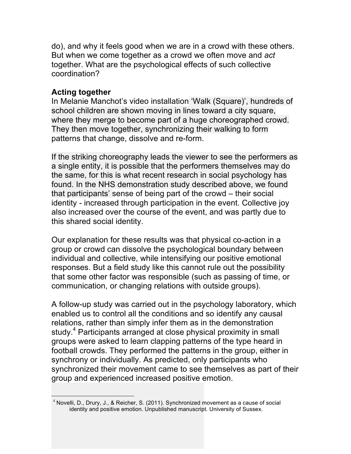do), and why it feels good when we are in a crowd with these others. But when we come together as a crowd we often move and *act* together. What are the psychological effects of such collective coordination?

## **Acting together**

In Melanie Manchot's video installation 'Walk (Square)', hundreds of school children are shown moving in lines toward a city square, where they merge to become part of a huge choreographed crowd. They then move together, synchronizing their walking to form patterns that change, dissolve and re-form.

If the striking choreography leads the viewer to see the performers as a single entity, it is possible that the performers themselves may do the same, for this is what recent research in social psychology has found. In the NHS demonstration study described above, we found that participants' sense of being part of the crowd – their social identity - increased through participation in the event. Collective joy also increased over the course of the event, and was partly due to this shared social identity.

Our explanation for these results was that physical co-action in a group or crowd can dissolve the psychological boundary between individual and collective, while intensifying our positive emotional responses. But a field study like this cannot rule out the possibility that some other factor was responsible (such as passing of time, or communication, or changing relations with outside groups).

A follow-up study was carried out in the psychology laboratory, which enabled us to control all the conditions and so identify any causal relations, rather than simply infer them as in the demonstration study.<sup>4</sup> Participants arranged at close physical proximity in small groups were asked to learn clapping patterns of the type heard in football crowds. They performed the patterns in the group, either in synchrony or individually. As predicted, only participants who synchronized their movement came to see themselves as part of their group and experienced increased positive emotion.

 $4$  Novelli, D., Drury, J., & Reicher, S. (2011). Synchronized movement as a cause of social identity and positive emotion. Unpublished manuscript. University of Sussex.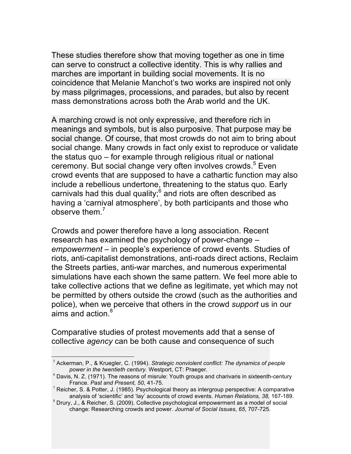These studies therefore show that moving together as one in time can serve to construct a collective identity. This is why rallies and marches are important in building social movements. It is no coincidence that Melanie Manchot's two works are inspired not only by mass pilgrimages, processions, and parades, but also by recent mass demonstrations across both the Arab world and the UK.

A marching crowd is not only expressive, and therefore rich in meanings and symbols, but is also purposive. That purpose may be social change. Of course, that most crowds do not aim to bring about social change. Many crowds in fact only exist to reproduce or validate the status quo – for example through religious ritual or national ceremony. But social change very often involves crowds. <sup>5</sup> Even crowd events that are supposed to have a cathartic function may also include a rebellious undertone, threatening to the status quo. Early carnivals had this dual quality; $6$  and riots are often described as having a 'carnival atmosphere', by both participants and those who observe them.<sup>7</sup>

Crowds and power therefore have a long association. Recent research has examined the psychology of power-change – *empowerment* – in people's experience of crowd events. Studies of riots, anti-capitalist demonstrations, anti-roads direct actions, Reclaim the Streets parties, anti-war marches, and numerous experimental simulations have each shown the same pattern. We feel more able to take collective actions that we define as legitimate, yet which may not be permitted by others outside the crowd (such as the authorities and police), when we perceive that others in the crowd *support* us in our aims and action.<sup>8</sup>

Comparative studies of protest movements add that a sense of collective *agency* can be both cause and consequence of such

 <sup>5</sup> Ackerman, P., & Kruegler, C. (1994). *Strategic nonviolent conflict: The dynamics of people power in the twentieth century.* Westport, CT: Praeger.

 $6$  Davis, N. Z. (1971). The reasons of misrule: Youth groups and charivaris in sixteenth-century France. *Past and Present, 50,* 41-75.

 $^7$  Reicher, S. & Potter, J. (1985). Psychological theory as intergroup perspective: A comparative analysis of 'scientific' and 'lay' accounts of crowd events. *Human Relations, 38,* 167-189.

 $^8$  Drury, J., & Reicher, S. (2009). Collective psychological empowerment as a model of social change: Researching crowds and power. *Journal of Social Issues*, *65*, 707-725.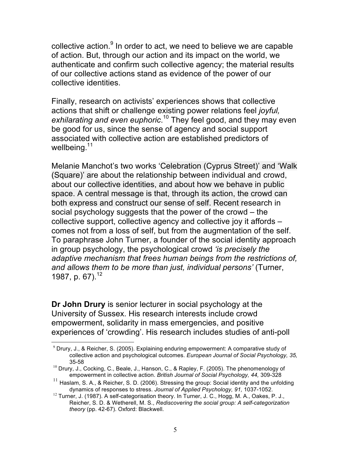collective action.<sup>9</sup> In order to act, we need to believe we are capable of action. But, through our action and its impact on the world, we authenticate and confirm such collective agency; the material results of our collective actions stand as evidence of the power of our collective identities.

Finally, research on activists' experiences shows that collective actions that shift or challenge existing power relations feel *joyful, exhilarating and even euphoric*. <sup>10</sup> They feel good, and they may even be good for us, since the sense of agency and social support associated with collective action are established predictors of wellbeing.<sup>11</sup>

Melanie Manchot's two works 'Celebration (Cyprus Street)' and 'Walk (Square)' are about the relationship between individual and crowd, about our collective identities, and about how we behave in public space. A central message is that, through its action, the crowd can both express and construct our sense of self. Recent research in social psychology suggests that the power of the crowd – the collective support, collective agency and collective joy it affords – comes not from a loss of self, but from the augmentation of the self. To paraphrase John Turner, a founder of the social identity approach in group psychology, the psychological crowd *'is precisely the adaptive mechanism that frees human beings from the restrictions of, and allows them to be more than just, individual persons'* (Turner, 1987, p. 67). 12

**Dr John Drury** is senior lecturer in social psychology at the University of Sussex. His research interests include crowd empowerment, solidarity in mass emergencies, and positive experiences of 'crowding'. His research includes studies of anti-poll

 $9$  Drury, J., & Reicher, S. (2005). Explaining enduring empowerment: A comparative study of collective action and psychological outcomes. *European Journal of Social Psychology, 35,*  35-58

 $10$  Drury, J., Cocking, C., Beale, J., Hanson, C., & Rapley, F. (2005). The phenomenology of empowerment in collective action. *British Journal of Social Psychology, 44,* 309-328

 $11$  Haslam, S. A., & Reicher, S. D. (2006). Stressing the group: Social identity and the unfolding dynamics of responses to stress. *Journal of Applied Psychology, 91,* 1037-1052.

 $12$  Turner, J. (1987). A self-categorisation theory. In Turner, J. C., Hogg, M. A., Oakes, P. J., Reicher, S. D. & Wetherell, M. S., *Rediscovering the social group: A self-categorization theory* (pp. 42-67). Oxford: Blackwell.